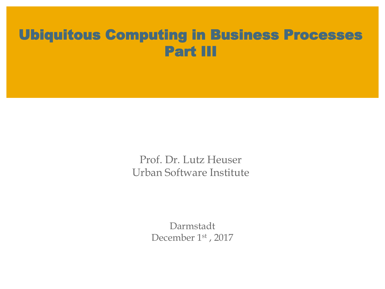# Ubiquitous Computing in Business Processes Part III

Prof. Dr. Lutz Heuser Urban Software Institute

> Darmstadt December 1st, 2017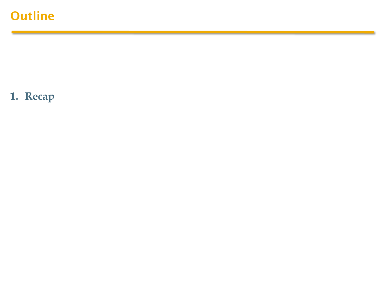# **Outline**

**1. Recap**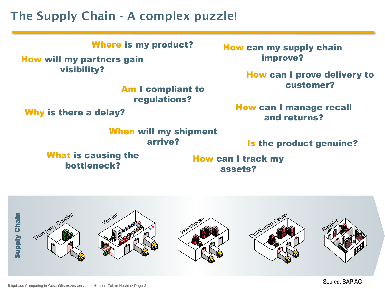## The Supply Chain - A complex puzzle!

Where is my product?<br>
How can my supply chain

#### How will my partners gain visibility?

Am I compliant to regulations?

Why is there a delay?

When will my shipment arrive?

What is causing the bottleneck?

improve?

How can I prove delivery to customer?

How can I manage recall and returns?

Is the product genuine?

How can I track my assets?

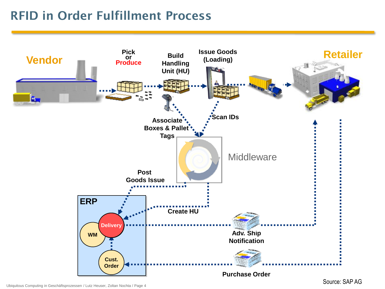# RFID in Order Fulfillment Process



Ubiquitous Computing in Geschäftsprozessen / Lutz Heuser, Zoltan Nochta / Page 4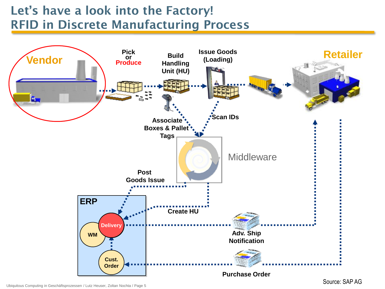# Let's have a look into the Factory! RFID in Discrete Manufacturing Process



Ubiquitous Computing in Geschäftsprozessen / Lutz Heuser, Zoltan Nochta / Page 5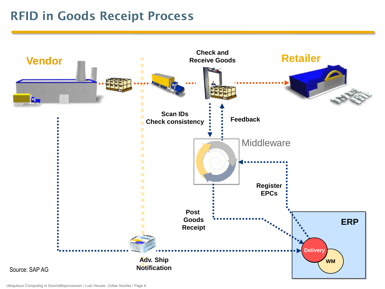## RFID in Goods Receipt Process

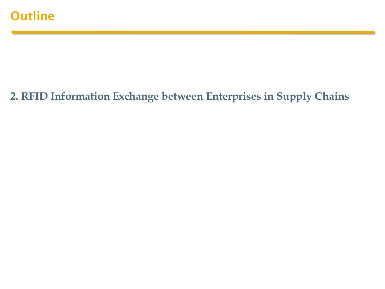### **2. RFID Information Exchange between Enterprises in Supply Chains**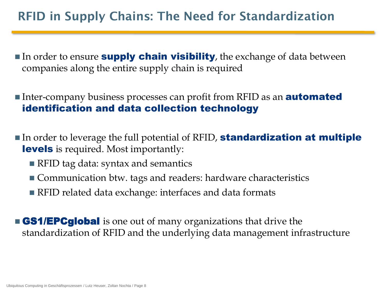# RFID in Supply Chains: The Need for Standardization

- In order to ensure **supply chain visibility**, the exchange of data between companies along the entire supply chain is required
- Inter-company business processes can profit from RFID as an **automated** identification and data collection technology
- In order to leverage the full potential of RFID, **standardization at multiple** levels is required. Most importantly:
	- RFID tag data: syntax and semantics
	- Communication btw. tags and readers: hardware characteristics
	- RFID related data exchange: interfaces and data formats

**GS1/EPCglobal** is one out of many organizations that drive the standardization of RFID and the underlying data management infrastructure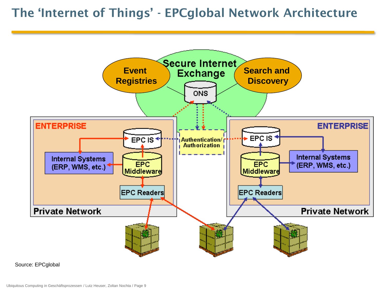### The 'Internet of Things' - EPCglobal Network Architecture



Source: EPCglobal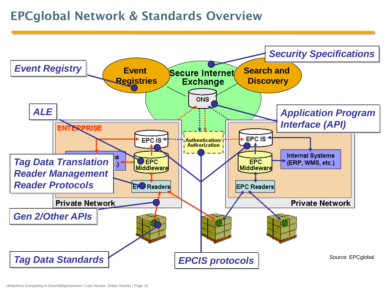### EPCglobal Network & Standards Overview

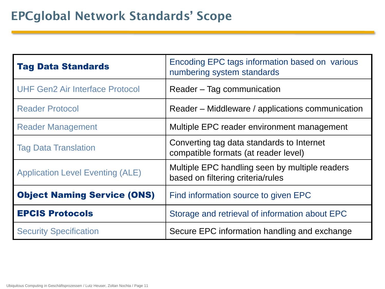# EPCglobal Network Standards' Scope

| <b>Tag Data Standards</b>               | Encoding EPC tags information based on various<br>numbering system standards        |  |  |
|-----------------------------------------|-------------------------------------------------------------------------------------|--|--|
| <b>UHF Gen2 Air Interface Protocol</b>  | Reader – Tag communication                                                          |  |  |
| <b>Reader Protocol</b>                  | Reader – Middleware / applications communication                                    |  |  |
| <b>Reader Management</b>                | Multiple EPC reader environment management                                          |  |  |
| <b>Tag Data Translation</b>             | Converting tag data standards to Internet<br>compatible formats (at reader level)   |  |  |
| <b>Application Level Eventing (ALE)</b> | Multiple EPC handling seen by multiple readers<br>based on filtering criteria/rules |  |  |
| <b>Object Naming Service (ONS)</b>      | Find information source to given EPC                                                |  |  |
| <b>EPCIS Protocols</b>                  | Storage and retrieval of information about EPC                                      |  |  |
| <b>Security Specification</b>           | Secure EPC information handling and exchange                                        |  |  |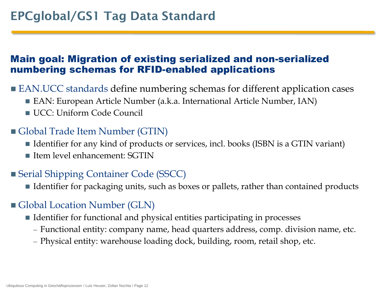### Main goal: Migration of existing serialized and non-serialized numbering schemas for RFID-enabled applications

- EAN.UCC standards define numbering schemas for different application cases
	- EAN: European Article Number (a.k.a. International Article Number, IAN)
	- UCC: Uniform Code Council

### Global Trade Item Number (GTIN)

- Identifier for any kind of products or services, incl. books (ISBN is a GTIN variant)
- $\blacksquare$  Item level enhancement: SGTIN

### ■ Serial Shipping Container Code (SSCC)

■ Identifier for packaging units, such as boxes or pallets, rather than contained products

### Global Location Number (GLN)

- $\blacksquare$  Identifier for functional and physical entities participating in processes
	- Functional entity: company name, head quarters address, comp. division name, etc.
	- Physical entity: warehouse loading dock, building, room, retail shop, etc.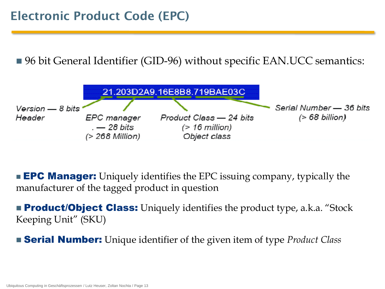■ 96 bit General Identifier (GID-96) without specific EAN.UCC semantics:



**EPC Manager:** Uniquely identifies the EPC issuing company, typically the manufacturer of the tagged product in question

**Product/Object Class:** Uniquely identifies the product type, a.k.a. "Stock" Keeping Unit" (SKU)

Serial Number: Unique identifier of the given item of type *Product Class*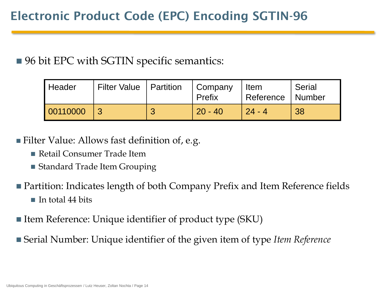■ 96 bit EPC with SGTIN specific semantics:

| Header   | Filter Value   Partition | Company<br>Prefix | Item<br>Reference   Number | Serial |
|----------|--------------------------|-------------------|----------------------------|--------|
| 00110000 |                          | $20 - 40$         | $24 - 4$                   | 38     |

- Filter Value: Allows fast definition of, e.g.
	- Retail Consumer Trade Item
	- Standard Trade Item Grouping
- Partition: Indicates length of both Company Prefix and Item Reference fields
	- $\blacksquare$  In total 44 bits
- Item Reference: Unique identifier of product type (SKU)
- Serial Number: Unique identifier of the given item of type *Item Reference*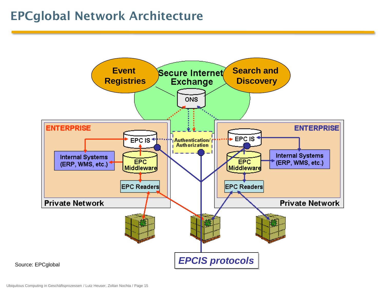## EPCglobal Network Architecture

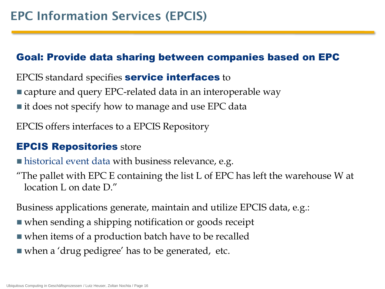### Goal: Provide data sharing between companies based on EPC

EPCIS standard specifies service interfaces to

- capture and query EPC-related data in an interoperable way
- $\blacksquare$  it does not specify how to manage and use EPC data

EPCIS offers interfaces to a EPCIS Repository

### EPCIS Repositories store

**historical event data with business relevance, e.g.** 

"The pallet with EPC E containing the list L of EPC has left the warehouse W at location L on date D."

Business applications generate, maintain and utilize EPCIS data, e.g.:

- when sending a shipping notification or goods receipt
- when items of a production batch have to be recalled
- when a 'drug pedigree' has to be generated, etc.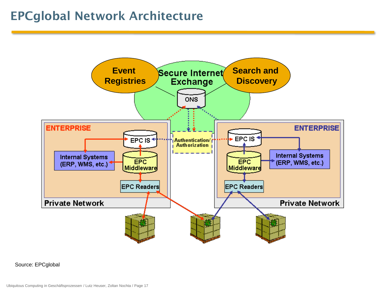## EPCglobal Network Architecture



Source: EPCglobal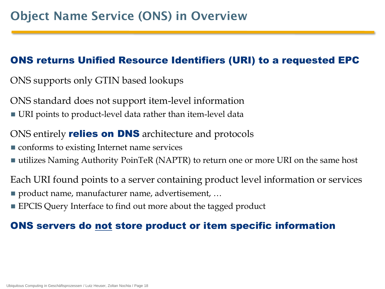### ONS returns Unified Resource Identifiers (URI) to a requested EPC

- ONS supports only GTIN based lookups
- ONS standard does not support item-level information
- URI points to product-level data rather than item-level data
- ONS entirely **relies on DNS** architecture and protocols
- **CONFORM** conforms to existing Internet name services
- utilizes Naming Authority PoinTeR (NAPTR) to return one or more URI on the same host
- Each URI found points to a server containing product level information or services
- product name, manufacturer name, advertisement, ...
- **EPCIS Query Interface to find out more about the tagged product**

### ONS servers do not store product or item specific information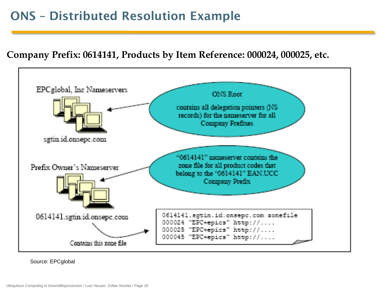## ONS – Distributed Resolution Example

#### **Company Prefix: 0614141, Products by Item Reference: 000024, 000025, etc.**



Source: EPCglobal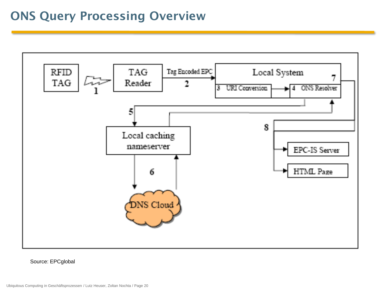## ONS Query Processing Overview



Source: EPCglobal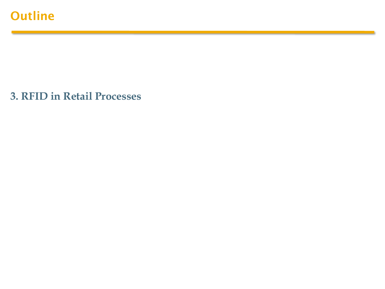**3. RFID in Retail Processes**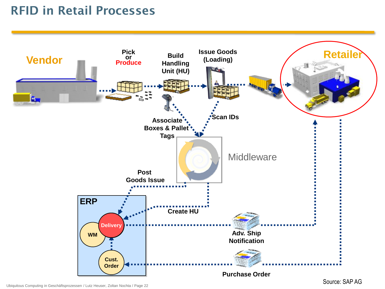# RFID in Retail Processes

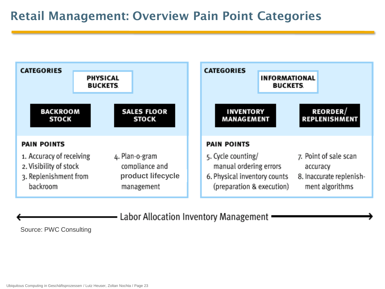## Retail Management: Overview Pain Point Categories



Labor Allocation Inventory Management

Source: PWC Consulting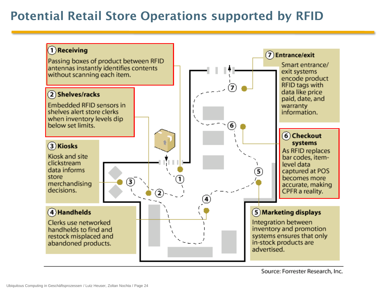## Potential Retail Store Operations supported by RFID

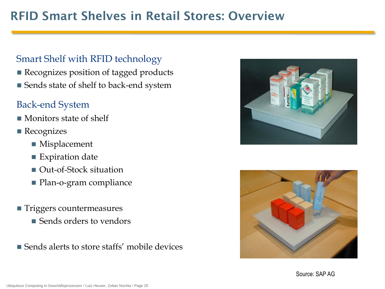# RFID Smart Shelves in Retail Stores: Overview

#### Smart Shelf with RFID technology

- Recognizes position of tagged products
- Sends state of shelf to back-end system

### Back-end System

- Monitors state of shelf
- Recognizes
	- Misplacement
	- Expiration date
	- Out-of-Stock situation
	- **Plan-o-gram compliance**
- **Triggers countermeasures** 
	- Sends orders to vendors
- Sends alerts to store staffs' mobile devices



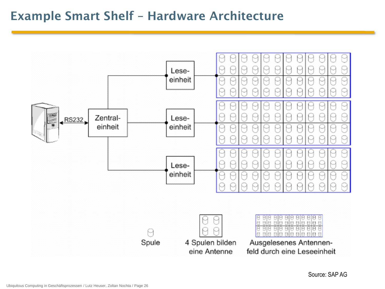### Example Smart Shelf – Hardware Architecture

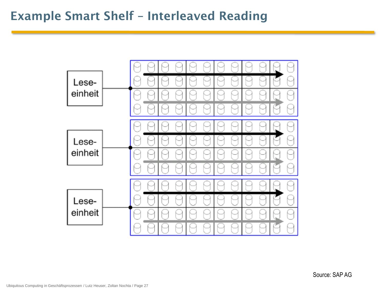## Example Smart Shelf – Interleaved Reading